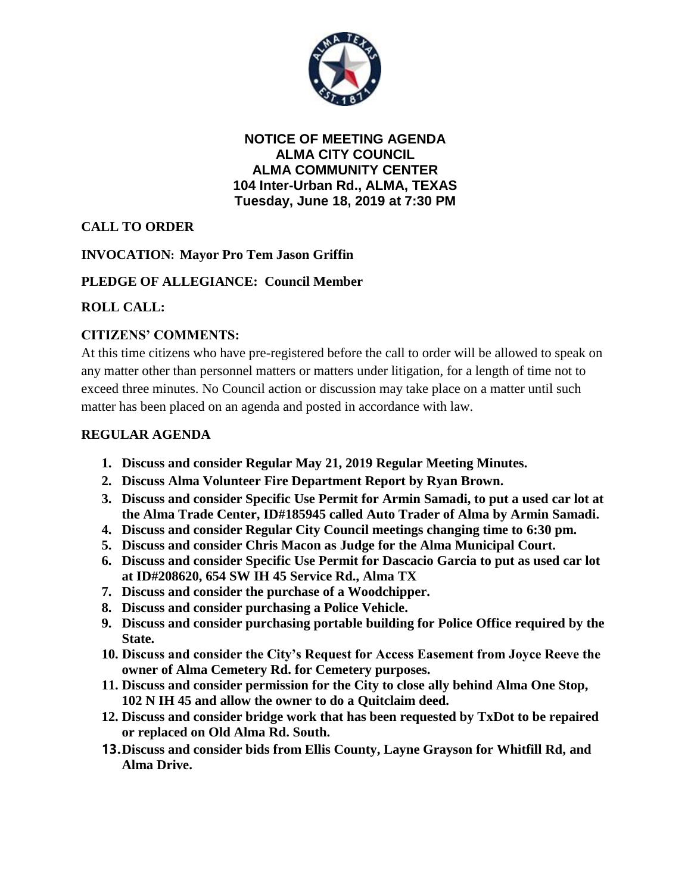

**NOTICE OF MEETING AGENDA ALMA CITY COUNCIL ALMA COMMUNITY CENTER 104 Inter-Urban Rd., ALMA, TEXAS Tuesday, June 18, 2019 at 7:30 PM**

# **CALL TO ORDER**

## **INVOCATION: Mayor Pro Tem Jason Griffin**

## **PLEDGE OF ALLEGIANCE: Council Member**

## **ROLL CALL:**

## **CITIZENS' COMMENTS:**

At this time citizens who have pre-registered before the call to order will be allowed to speak on any matter other than personnel matters or matters under litigation, for a length of time not to exceed three minutes. No Council action or discussion may take place on a matter until such matter has been placed on an agenda and posted in accordance with law.

#### **REGULAR AGENDA**

- **1. Discuss and consider Regular May 21, 2019 Regular Meeting Minutes.**
- **2. Discuss Alma Volunteer Fire Department Report by Ryan Brown.**
- **3. Discuss and consider Specific Use Permit for Armin Samadi, to put a used car lot at the Alma Trade Center, ID#185945 called Auto Trader of Alma by Armin Samadi.**
- **4. Discuss and consider Regular City Council meetings changing time to 6:30 pm.**
- **5. Discuss and consider Chris Macon as Judge for the Alma Municipal Court.**
- **6. Discuss and consider Specific Use Permit for Dascacio Garcia to put as used car lot at ID#208620, 654 SW IH 45 Service Rd., Alma TX**
- **7. Discuss and consider the purchase of a Woodchipper.**
- **8. Discuss and consider purchasing a Police Vehicle.**
- **9. Discuss and consider purchasing portable building for Police Office required by the State.**
- **10. Discuss and consider the City's Request for Access Easement from Joyce Reeve the owner of Alma Cemetery Rd. for Cemetery purposes.**
- **11. Discuss and consider permission for the City to close ally behind Alma One Stop, 102 N IH 45 and allow the owner to do a Quitclaim deed.**
- **12. Discuss and consider bridge work that has been requested by TxDot to be repaired or replaced on Old Alma Rd. South.**
- **13.Discuss and consider bids from Ellis County, Layne Grayson for Whitfill Rd, and Alma Drive.**